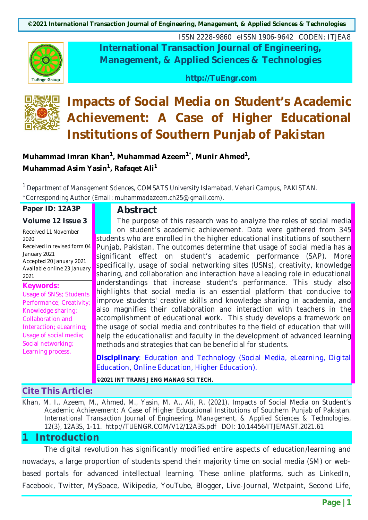**©2021 International Transaction Journal of Engineering, Management, & Applied Sciences & Technologies**



ISSN 2228-9860 eISSN 1906-9642 CODEN: ITJEA8 **International Transaction Journal of Engineering, Management, & Applied Sciences & Technologies**

**http://TuEngr.com**



# **Impacts of Social Media on Student's Academic Achievement: A Case of Higher Educational Institutions of Southern Punjab of Pakistan**

**Muhammad Imran Khan1, Muhammad Azeem1\*, Munir Ahmed1, Muhammad Asim Yasin<sup>1</sup>, Rafaqet Ali<sup>1</sup>** 

*<sup>1</sup> Department of Management Sciences, COMSATS University Islamabad, Vehari Campus, PAKISTAN. \*Corresponding Author (Email: muhammadazeem.ch25@gmail.com).*

**Paper ID: 12A3P**

**Volume 12 Issue 3**

#### **Abstract**

Received 11 November 2020 Received in revised form 04 January 2021 Accepted 20 January 2021 Available online 23 January 2021

**Keywords:**

Usage of SNSs; Students Performance; Creativity; Knowledge sharing; Collaboration and Interaction; eLearning; Usage of social media; Social networking; Learning process.

The purpose of this research was to analyze the roles of social media on student's academic achievement. Data were gathered from 345 students who are enrolled in the higher educational institutions of southern Punjab, Pakistan. The outcomes determine that usage of social media has a significant effect on student's academic performance (SAP). More specifically, usage of social networking sites (USNs), creativity, knowledge sharing, and collaboration and interaction have a leading role in educational understandings that increase student's performance. This study also highlights that social media is an essential platform that conducive to improve students' creative skills and knowledge sharing in academia, and also magnifies their collaboration and interaction with teachers in the accomplishment of educational work. This study develops a framework on the usage of social media and contributes to the field of education that will help the educationalist and faculty in the development of advanced learning methods and strategies that can be beneficial for students.

**Disciplinary**: Education and Technology (Social Media, eLearning, Digital Education, Online Education, Higher Education).

**©2021 INT TRANS J ENG MANAG SCI TECH.**

**Cite This Article:**

Khan, M. I., Azeem, M., Ahmed, M., Yasin, M. A., Ali, R. (2021). Impacts of Social Media on Student's Academic Achievement: A Case of Higher Educational Institutions of Southern Punjab of Pakistan. *International Transaction Journal of Engineering, Management, & Applied Sciences & Technologies, 12*(3), 12A3S, 1-11. http://TUENGR.COM/V12/12A3S.pdf DOI: 10.14456/ITJEMAST.2021.61

## **1 Introduction**

The digital revolution has significantly modified entire aspects of education/learning and nowadays, a large proportion of students spend their majority time on social media (SM) or webbased portals for advanced intellectual learning. These online platforms, such as LinkedIn, Facebook, Twitter, MySpace, Wikipedia, YouTube, Blogger, Live-Journal, Wetpaint, Second Life,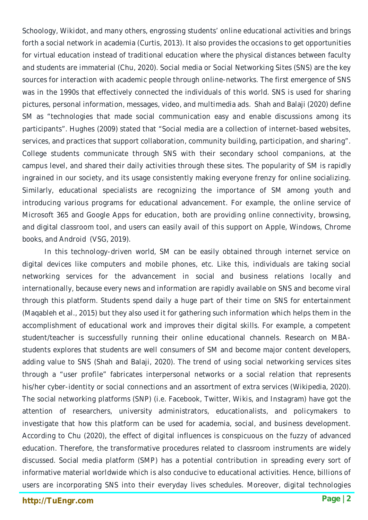Schoology, Wikidot, and many others, engrossing students' online educational activities and brings forth a social network in academia (Curtis, 2013). It also provides the occasions to get opportunities for virtual education instead of traditional education where the physical distances between faculty and students are immaterial (Chu, 2020). Social media or Social Networking Sites (SNS) are the key sources for interaction with academic people through online-networks. The first emergence of SNS was in the 1990s that effectively connected the individuals of this world. SNS is used for sharing pictures, personal information, messages, video, and multimedia ads. Shah and Balaji (2020) define SM as "technologies that made social communication easy and enable discussions among its participants". Hughes (2009) stated that "Social media are a collection of internet-based websites, services, and practices that support collaboration, community building, participation, and sharing". College students communicate through SNS with their secondary school companions, at the campus level, and shared their daily activities through these sites. The popularity of SM is rapidly ingrained in our society, and its usage consistently making everyone frenzy for online socializing. Similarly, educational specialists are recognizing the importance of SM among youth and introducing various programs for educational advancement. For example, the online service of Microsoft 365 and Google Apps for education, both are providing online connectivity, browsing, and digital classroom tool, and users can easily avail of this support on Apple, Windows, Chrome books, and Android (VSG, 2019).

In this technology-driven world, SM can be easily obtained through internet service on digital devices like computers and mobile phones, etc. Like this, individuals are taking social networking services for the advancement in social and business relations locally and internationally, because every news and information are rapidly available on SNS and become viral through this platform. Students spend daily a huge part of their time on SNS for entertainment (Maqableh et al., 2015) but they also used it for gathering such information which helps them in the accomplishment of educational work and improves their digital skills. For example, a competent student/teacher is successfully running their online educational channels. Research on MBAstudents explores that students are well consumers of SM and become major content developers, adding value to SNS (Shah and Balaji, 2020). The trend of using social networking services sites through a "user profile" fabricates interpersonal networks or a social relation that represents his/her cyber-identity or social connections and an assortment of extra services (Wikipedia, 2020). The social networking platforms (SNP) (i.e. Facebook, Twitter, Wikis, and Instagram) have got the attention of researchers, university administrators, educationalists, and policymakers to investigate that how this platform can be used for academia, social, and business development. According to Chu (2020), the effect of digital influences is conspicuous on the fuzzy of advanced education. Therefore, the transformative procedures related to classroom instruments are widely discussed. Social media platform (SMP) has a potential contribution in spreading every sort of informative material worldwide which is also conducive to educational activities. Hence, billions of users are incorporating SNS into their everyday lives schedules. Moreover, digital technologies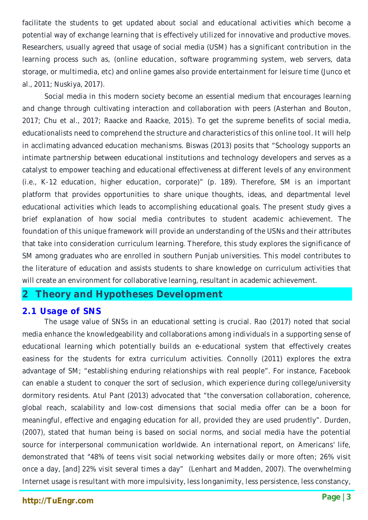facilitate the students to get updated about social and educational activities which become a potential way of exchange learning that is effectively utilized for innovative and productive moves. Researchers, usually agreed that usage of social media (USM) has a significant contribution in the learning process such as, (online education, software programming system, web servers, data storage, or multimedia, etc) and online games also provide entertainment for leisure time (Junco et al., 2011; Nuskiya, 2017).

Social media in this modern society become an essential medium that encourages learning and change through cultivating interaction and collaboration with peers (Asterhan and Bouton, 2017; Chu et al., 2017; Raacke and Raacke, 2015). To get the supreme benefits of social media, educationalists need to comprehend the structure and characteristics of this online tool. It will help in acclimating advanced education mechanisms. Biswas (2013) posits that "Schoology supports an intimate partnership between educational institutions and technology developers and serves as a catalyst to empower teaching and educational effectiveness at different levels of any environment (i.e., K-12 education, higher education, corporate)" (p. 189). Therefore, SM is an important platform that provides opportunities to share unique thoughts, ideas, and departmental level educational activities which leads to accomplishing educational goals. The present study gives a brief explanation of how social media contributes to student academic achievement. The foundation of this unique framework will provide an understanding of the USNs and their attributes that take into consideration curriculum learning. Therefore, this study explores the significance of SM among graduates who are enrolled in southern Punjab universities. This model contributes to the literature of education and assists students to share knowledge on curriculum activities that will create an environment for collaborative learning, resultant in academic achievement.

## **2 Theory and Hypotheses Development**

#### **2.1 Usage of SNS**

The usage value of SNSs in an educational setting is crucial. Rao (2017) noted that social media enhance the knowledgeability and collaborations among individuals in a supporting sense of educational learning which potentially builds an e-educational system that effectively creates easiness for the students for extra curriculum activities. Connolly (2011) explores the extra advantage of SM; "establishing enduring relationships with real people". For instance, Facebook can enable a student to conquer the sort of seclusion, which experience during college/university dormitory residents. Atul Pant (2013) advocated that "the conversation collaboration, coherence, global reach, scalability and low-cost dimensions that social media offer can be a boon for meaningful, effective and engaging education for all, provided they are used prudently". Durden, (2007), stated that human being is based on social norms, and social media have the potential source for interpersonal communication worldwide. An international report, on Americans' life, demonstrated that "48% of teens visit social networking websites daily or more often; 26% visit once a day, [and] 22% visit several times a day" (Lenhart and Madden, 2007). The overwhelming Internet usage is resultant with more impulsivity, less longanimity, less persistence, less constancy,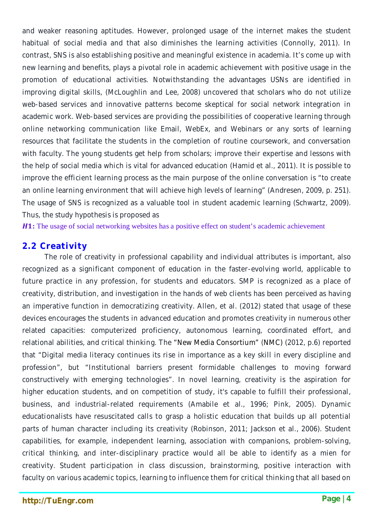and weaker reasoning aptitudes. However, prolonged usage of the internet makes the student habitual of social media and that also diminishes the learning activities (Connolly, 2011). In contrast, SNS is also establishing positive and meaningful existence in academia. It's come up with new learning and benefits, plays a pivotal role in academic achievement with positive usage in the promotion of educational activities. Notwithstanding the advantages USNs are identified in improving digital skills, (McLoughlin and Lee, 2008) uncovered that scholars who do not utilize web-based services and innovative patterns become skeptical for social network integration in academic work. Web-based services are providing the possibilities of cooperative learning through online networking communication like Email, WebEx, and Webinars or any sorts of learning resources that facilitate the students in the completion of routine coursework, and conversation with faculty. The young students get help from scholars; improve their expertise and lessons with the help of social media which is vital for advanced education (Hamid et al., 2011). It is possible to improve the efficient learning process as the main purpose of the online conversation is "to create an online learning environment that will achieve high levels of learning" (Andresen, 2009, p. 251). The usage of SNS is recognized as a valuable tool in student academic learning (Schwartz, 2009). Thus, the study hypothesis is proposed as

**H1:** The usage of social networking websites has a positive effect on student's academic achievement

#### **2.2 Creativity**

The role of creativity in professional capability and individual attributes is important, also recognized as a significant component of education in the faster-evolving world, applicable to future practice in any profession, for students and educators. SMP is recognized as a place of creativity, distribution, and investigation in the hands of web clients has been perceived as having an imperative function in democratizing creativity. Allen, et al. (2012) stated that usage of these devices encourages the students in advanced education and promotes creativity in numerous other related capacities: computerized proficiency, autonomous learning, coordinated effort, and relational abilities, and critical thinking. The "New Media Consortium" (NMC) (2012, p.6) reported that "Digital media literacy continues its rise in importance as a key skill in every discipline and profession", but "Institutional barriers present formidable challenges to moving forward constructively with emerging technologies". In novel learning, creativity is the aspiration for higher education students, and on competition of study, it's capable to fulfill their professional, business, and industrial-related requirements (Amabile et al., 1996; Pink, 2005). Dynamic educationalists have resuscitated calls to grasp a holistic education that builds up all potential parts of human character including its creativity (Robinson, 2011; Jackson et al., 2006). Student capabilities, for example, independent learning, association with companions, problem-solving, critical thinking, and inter-disciplinary practice would all be able to identify as a mien for creativity. Student participation in class discussion, brainstorming, positive interaction with faculty on various academic topics, learning to influence them for critical thinking that all based on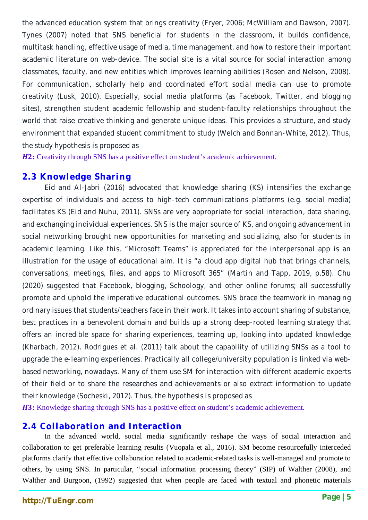the advanced education system that brings creativity (Fryer, 2006; McWilliam and Dawson, 2007). Tynes (2007) noted that SNS beneficial for students in the classroom, it builds confidence, multitask handling, effective usage of media, time management, and how to restore their important academic literature on web-device. The social site is a vital source for social interaction among classmates, faculty, and new entities which improves learning abilities (Rosen and Nelson, 2008). For communication, scholarly help and coordinated effort social media can use to promote creativity (Lusk, 2010). Especially, social media platforms (as Facebook, Twitter, and blogging sites), strengthen student academic fellowship and student-faculty relationships throughout the world that raise creative thinking and generate unique ideas. This provides a structure, and study environment that expanded student commitment to study (Welch and Bonnan-White, 2012). Thus, the study hypothesis is proposed as

**H2:** Creativity through SNS has a positive effect on student's academic achievement.

#### **2.3 Knowledge Sharing**

Eid and Al-Jabri (2016) advocated that knowledge sharing (KS) intensifies the exchange expertise of individuals and access to high-tech communications platforms (e.g. social media) facilitates KS (Eid and Nuhu, 2011). SNSs are very appropriate for social interaction, data sharing, and exchanging individual experiences. SNS is the major source of KS, and ongoing advancement in social networking brought new opportunities for marketing and socializing, also for students in academic learning. Like this, "Microsoft Teams" is appreciated for the interpersonal app is an illustration for the usage of educational aim. It is "a cloud app digital hub that brings channels, conversations, meetings, files, and apps to Microsoft 365" (Martin and Tapp, 2019, p.58). Chu (2020) suggested that Facebook, blogging, Schoology, and other online forums; all successfully promote and uphold the imperative educational outcomes. SNS brace the teamwork in managing ordinary issues that students/teachers face in their work. It takes into account sharing of substance, best practices in a benevolent domain and builds up a strong deep-rooted learning strategy that offers an incredible space for sharing experiences, teaming up, looking into updated knowledge (Kharbach, 2012). Rodrigues et al. (2011) talk about the capability of utilizing SNSs as a tool to upgrade the e-learning experiences. Practically all college/university population is linked via webbased networking, nowadays. Many of them use SM for interaction with different academic experts of their field or to share the researches and achievements or also extract information to update their knowledge (Socheski, 2012). Thus, the hypothesis is proposed as *H3*: Knowledge sharing through SNS has a positive effect on student's academic achievement.

#### **2.4 Collaboration and Interaction**

In the advanced world, social media significantly reshape the ways of social interaction and collaboration to get preferable learning results (Vuopala et al., 2016). SM become resourcefully interceded platforms clarify that effective collaboration related to academic-related tasks is well-managed and promote to others, by using SNS. In particular, "social information processing theory" (SIP) of Walther (2008), and Walther and Burgoon, (1992) suggested that when people are faced with textual and phonetic materials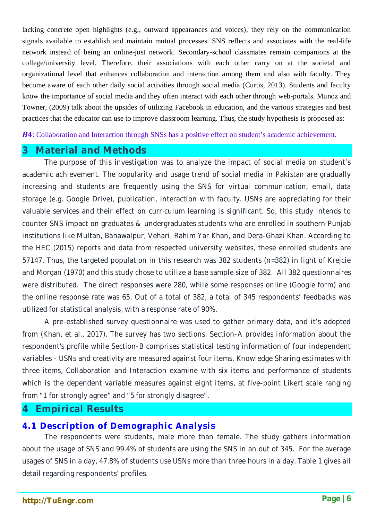lacking concrete open highlights (e.g., outward appearances and voices), they rely on the communication signals available to establish and maintain mutual processes. SNS reflects and associates with the real-life network instead of being an online-just network. Secondary-school classmates remain companions at the college/university level. Therefore, their associations with each other carry on at the societal and organizational level that enhances collaboration and interaction among them and also with faculty. They become aware of each other daily social activities through social media (Curtis, 2013). Students and faculty know the importance of social media and they often interact with each other through web-portals. Munoz and Towner, (2009) talk about the upsides of utilizing Facebook in education, and the various strategies and best practices that the educator can use to improve classroom learning. Thus, the study hypothesis is proposed as:

: Collaboration and Interaction through SNSs has a positive effect on student's academic achievement.

## **3 Material and Methods**

The purpose of this investigation was to analyze the impact of social media on student's academic achievement. The popularity and usage trend of social media in Pakistan are gradually increasing and students are frequently using the SNS for virtual communication, email, data storage (e.g. Google Drive), publication, interaction with faculty. USNs are appreciating for their valuable services and their effect on curriculum learning is significant. So, this study intends to counter SNS impact on graduates & undergraduates students who are enrolled in southern Punjab institutions like Multan, Bahawalpur, Vehari, Rahim Yar Khan, and Dera-Ghazi Khan. According to the HEC (2015) reports and data from respected university websites, these enrolled students are 57147. Thus, the targeted population in this research was 382 students (n=382) in light of Krejcie and Morgan (1970) and this study chose to utilize a base sample size of 382. All 382 questionnaires were distributed. The direct responses were 280, while some responses online (Google form) and the online response rate was 65. Out of a total of 382, a total of 345 respondents' feedbacks was utilized for statistical analysis, with a response rate of 90%.

A pre-established survey questionnaire was used to gather primary data, and it's adopted from (Khan, et al., 2017). The survey has two sections. Section-A provides information about the respondent's profile while Section-B comprises statistical testing information of four independent variables - USNs and creativity are measured against four items, Knowledge Sharing estimates with three items, Collaboration and Interaction examine with six items and performance of students which is the dependent variable measures against eight items, at five-point Likert scale ranging from "1 for strongly agree" and "5 for strongly disagree".

#### **4 Empirical Results**

#### **4.1 Description of Demographic Analysis**

The respondents were students, male more than female. The study gathers information about the usage of SNS and 99.4% of students are using the SNS in an out of 345. For the average usages of SNS in a day, 47.8% of students use USNs more than three hours in a day. Table 1 gives all detail regarding respondents' profiles.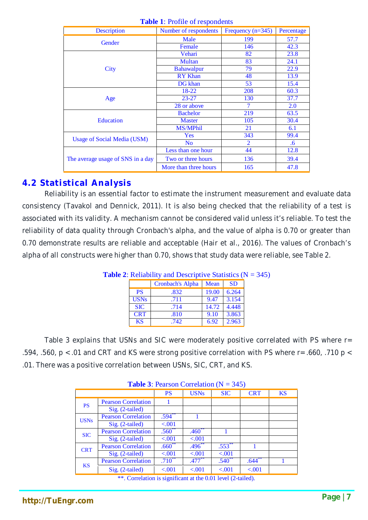| Description                       | Number of respondents | Frequency $(n=345)$ | Percentage |
|-----------------------------------|-----------------------|---------------------|------------|
|                                   | Male                  | 199                 | 57.7       |
| Gender                            | Female                | 146                 | 42.3       |
|                                   | Vehari                | 82                  | 23.8       |
|                                   | <b>Multan</b>         | 83                  | 24.1       |
| City                              | <b>Bahawalpur</b>     | 79                  | 22.9       |
|                                   | <b>RY</b> Khan        | 48                  | 13.9       |
|                                   | DG khan               | 53                  | 15.4       |
|                                   | 18-22                 | 208                 | 60.3       |
| Age                               | $23 - 27$             | 130                 | 37.7       |
|                                   | 28 or above           | 7                   | 2.0        |
|                                   | <b>Bachelor</b>       | 219                 | 63.5       |
| <b>Education</b>                  | <b>Master</b>         | 105                 | 30.4       |
|                                   | <b>MS/MPhil</b>       | 21                  | 6.1        |
| Usage of Social Media (USM)       | Yes                   | 343                 | 99.4       |
|                                   | N <sub>o</sub>        | 2                   | $.6\,$     |
|                                   | Less than one hour    | 44                  | 12.8       |
| The average usage of SNS in a day | Two or three hours    | 136                 | 39.4       |
|                                   | More than three hours | 165                 | 47.8       |

#### **Table 1**: Profile of respondents

### **4.2 Statistical Analysis**

Reliability is an essential factor to estimate the instrument measurement and evaluate data consistency (Tavakol and Dennick, 2011). It is also being checked that the reliability of a test is associated with its validity. A mechanism cannot be considered valid unless it's reliable. To test the reliability of data quality through Cronbach's alpha, and the value of alpha is 0.70 or greater than 0.70 demonstrate results are reliable and acceptable (Hair et al., 2016). The values of Cronbach's alpha of all constructs were higher than 0.70, shows that study data were reliable, see Table 2.

| $\blacksquare$ . Extraormy and Descriptive blansites (1) |                  |       |           |  |  |  |
|----------------------------------------------------------|------------------|-------|-----------|--|--|--|
|                                                          | Cronbach's Alpha | Mean  | <b>SD</b> |  |  |  |
| <b>PS</b>                                                | .832             | 19.00 | 6.264     |  |  |  |
| <b>USNs</b>                                              | .711             | 9.47  | 3.154     |  |  |  |
| <b>SIC</b>                                               | .714             | 14.72 | 4.448     |  |  |  |
| <b>CRT</b>                                               | .810             | 9.10  | 3.863     |  |  |  |
| <b>KS</b>                                                | .742             | 6.92  | 2.963     |  |  |  |

**Table 2:** Reliability and Descriptive Statistics  $(N = 345)$ 

Table 3 explains that USNs and SIC were moderately positive correlated with PS where r= .594, .560, p < .01 and CRT and KS were strong positive correlation with PS where r= .660, .710 p < .01. There was a positive correlation between USNs, SIC, CRT, and KS.

| <b>Table 3:</b> Pearson Correlation ( $N = 345$ ) |                                                                                                                                                                                                                                |                |             |                                                         |              |           |  |  |
|---------------------------------------------------|--------------------------------------------------------------------------------------------------------------------------------------------------------------------------------------------------------------------------------|----------------|-------------|---------------------------------------------------------|--------------|-----------|--|--|
|                                                   |                                                                                                                                                                                                                                | <b>PS</b>      | <b>USNs</b> | <b>SIC</b>                                              | <b>CRT</b>   | <b>KS</b> |  |  |
| <b>PS</b>                                         | <b>Pearson Correlation</b>                                                                                                                                                                                                     |                |             |                                                         |              |           |  |  |
|                                                   | Sig. (2-tailed)                                                                                                                                                                                                                |                |             |                                                         |              |           |  |  |
| <b>USNs</b>                                       | <b>Pearson Correlation</b>                                                                                                                                                                                                     | $.594^{**}$    |             |                                                         |              |           |  |  |
|                                                   | Sig. (2-tailed)                                                                                                                                                                                                                | < .001         |             |                                                         |              |           |  |  |
| <b>SIC</b>                                        | <b>Pearson Correlation</b>                                                                                                                                                                                                     | $.560**$       | $.460**$    |                                                         |              |           |  |  |
|                                                   | Sig. (2-tailed)                                                                                                                                                                                                                | < .001         | < .001      |                                                         |              |           |  |  |
| <b>CRT</b>                                        | <b>Pearson Correlation</b>                                                                                                                                                                                                     | $.660^{**}$    | $.496^{**}$ | .553                                                    |              |           |  |  |
|                                                   | $Sig. (2-tailed)$                                                                                                                                                                                                              | < .001         | < 0.001     | < 0.001                                                 |              |           |  |  |
| <b>KS</b>                                         | <b>Pearson Correlation</b>                                                                                                                                                                                                     | $.710^{**}$    | $.477***$   | $.540^{**}$                                             | $.644^{***}$ |           |  |  |
|                                                   | Sig. (2-tailed)                                                                                                                                                                                                                | < .001         | < .001      | < 0.001                                                 | < .001       |           |  |  |
|                                                   | and the second control of the second second the second second terms of the second second terms of the second second terms of the second second terms of the second second terms of the second second terms of the second secon | $\cdot$ $\sim$ |             | $\sim$ $\sim$ $\sim$ $\sim$ $\sim$ $\sim$ $\sim$ $\sim$ |              |           |  |  |

#### **Table 3**: Pearson Correlation (N = 345)

\*\*. Correlation is significant at the 0.01 level (2-tailed).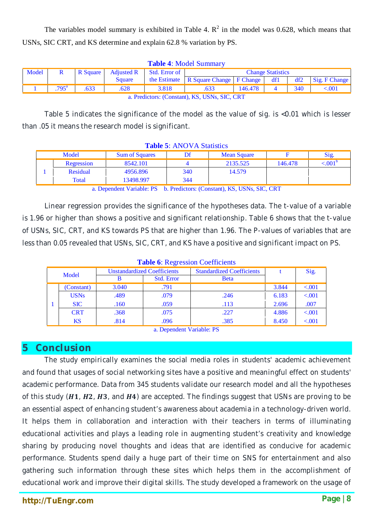The variables model summary is exhibited in Table 4.  $\mathbb{R}^2$  in the model was 0.628, which means that USNs, SIC CRT, and KS determine and explain 62.8 % variation by PS.

| <b>Table 4.</b> INFOUCE BUTHINGEY         |                |  |                                       |                          |                                           |         |          |     |                     |
|-------------------------------------------|----------------|--|---------------------------------------|--------------------------|-------------------------------------------|---------|----------|-----|---------------------|
| Model                                     |                |  | R Square   Adjusted R   Std. Error of | <b>Change Statistics</b> |                                           |         |          |     |                     |
|                                           |                |  | <b>Square</b>                         |                          | the Estimate   R Square Change   F Change |         | df1      |     | $df2$ Sig. F Change |
|                                           | $.795^{\rm a}$ |  | .628                                  | 3.818                    | .633                                      | 146.478 | $\sim$ 4 | 340 | ${<}001$            |
| . Duralistome (Constant) IZO HOMe OIC CDT |                |  |                                       |                          |                                           |         |          |     |                     |

**Table 4**: Model Summary

a. Predictors: (Constant), KS, USNs, SIC, CRT

Table 5 indicates the significance of the model as the value of sig. is <0.01 which is lesser than .05 it means the research model is significant.

| <b>Table 5.</b> First <i>V</i> Fi Blaustics |            |                       |                    |          |         |       |  |  |
|---------------------------------------------|------------|-----------------------|--------------------|----------|---------|-------|--|--|
| Model                                       |            | <b>Sum of Squares</b> | <b>Mean Square</b> |          |         | Sig.  |  |  |
|                                             | Regression | 8542.101              |                    | 2135.525 | 146.478 | < 001 |  |  |
|                                             | Residual   | 4956.896              | 340                | 14.579   |         |       |  |  |
|                                             | Total      | 13498.997             | 344                |          |         |       |  |  |

**Table 5**: ANOVA Statistics

a. Dependent Variable: PS b. Predictors: (Constant), KS, USNs, SIC, CRT

Linear regression provides the significance of the hypotheses data. The t-value of a variable is 1.96 or higher than shows a positive and significant relationship. Table 6 shows that the t-value of USNs, SIC, CRT, and KS towards PS that are higher than 1.96. The P-values of variables that are less than 0.05 revealed that USNs, SIC, CRT, and KS have a positive and significant impact on PS.

| <b>Table 0. Regiession Coemetins</b> |             |                                    |                   |                                  |       |         |  |  |
|--------------------------------------|-------------|------------------------------------|-------------------|----------------------------------|-------|---------|--|--|
| Model                                |             | <b>Unstandardized Coefficients</b> |                   | <b>Standardized Coefficients</b> |       | Sig.    |  |  |
|                                      |             |                                    | <b>Std. Error</b> | <b>B</b> eta                     |       |         |  |  |
|                                      | (Constant)  | 3.040                              | .791              |                                  | 3.844 | < 0.001 |  |  |
|                                      | <b>USNs</b> | .489                               | .079              | .246                             | 6.183 | < .001  |  |  |
|                                      | <b>SIC</b>  | .160                               | .059              | .113                             | 2.696 | .007    |  |  |
|                                      | <b>CRT</b>  | .368                               | .075              | .227                             | 4.886 | < 0.001 |  |  |
|                                      | KS          | .814                               | .096              | .385                             | 8.450 | < 0.001 |  |  |

**Table 6**: Regression Coefficients

a. Dependent Variable: PS

# **5 Conclusion**

The study empirically examines the social media roles in students' academic achievement and found that usages of social networking sites have a positive and meaningful effect on students' academic performance. Data from 345 students validate our research model and all the hypotheses of this study  $(H1, H2, H3,$  and  $H4$ ) are accepted. The findings suggest that USNs are proving to be an essential aspect of enhancing student's awareness about academia in a technology-driven world. It helps them in collaboration and interaction with their teachers in terms of illuminating educational activities and plays a leading role in augmenting student's creativity and knowledge sharing by producing novel thoughts and ideas that are identified as conducive for academic performance. Students spend daily a huge part of their time on SNS for entertainment and also gathering such information through these sites which helps them in the accomplishment of educational work and improve their digital skills. The study developed a framework on the usage of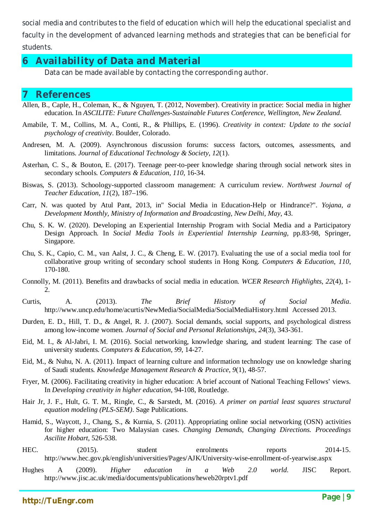social media and contributes to the field of education which will help the educational specialist and faculty in the development of advanced learning methods and strategies that can be beneficial for students.

# **6 Availability of Data and Material**

Data can be made available by contacting the corresponding author.

## **7 References**

- Allen, B., Caple, H., Coleman, K., & Nguyen, T. (2012, November). Creativity in practice: Social media in higher education. In *ASCILITE: Future Challenges-Sustainable Futures Conference, Wellington, New Zealand*.
- Amabile, T. M., Collins, M. A., Conti, R., & Phillips, E. (1996). *Creativity in context: Update to the social psychology of creativity*. Boulder, Colorado.
- Andresen, M. A. (2009). Asynchronous discussion forums: success factors, outcomes, assessments, and limitations. *Journal of Educational Technology & Society*, *12*(1).
- Asterhan, C. S., & Bouton, E. (2017). Teenage peer-to-peer knowledge sharing through social network sites in secondary schools. *Computers & Education*, *110*, 16-34.
- Biswas, S. (2013). Schoology-supported classroom management: A curriculum review. *Northwest Journal of Teacher Education, 11*(2), 187–196.
- Carr, N. was quoted by Atul Pant, 2013, in" Social Media in Education-Help or Hindrance?". *Yojana, a Development Monthly, Ministry of Information and Broadcasting, New Delhi, May*, 43.
- Chu, S. K. W. (2020). Developing an Experiential Internship Program with Social Media and a Participatory Design Approach. In *Social Media Tools in Experiential Internship Learning*, pp.83-98, Springer, Singapore.
- Chu, S. K., Capio, C. M., van Aalst, J. C., & Cheng, E. W. (2017). Evaluating the use of a social media tool for collaborative group writing of secondary school students in Hong Kong. *Computers & Education*, *110*, 170-180.
- Connolly, M. (2011). Benefits and drawbacks of social media in education. *WCER Research Highlights*, *22*(4), 1-  $\mathcal{D}$
- Curtis, A. (2013). *The Brief History of Social Media*. http://www.uncp.edu/home/acurtis/NewMedia/SocialMedia/SocialMediaHistory.html Accessed 2013.
- Durden, E. D., Hill, T. D., & Angel, R. J. (2007). Social demands, social supports, and psychological distress among low-income women. *Journal of Social and Personal Relationships*, *24*(3), 343-361.
- Eid, M. I., & Al-Jabri, I. M. (2016). Social networking, knowledge sharing, and student learning: The case of university students. *Computers & Education*, *99*, 14-27.
- Eid, M., & Nuhu, N. A. (2011). Impact of learning culture and information technology use on knowledge sharing of Saudi students. *Knowledge Management Research & Practice*, *9*(1), 48-57.
- Fryer, M. (2006). Facilitating creativity in higher education: A brief account of National Teaching Fellows' views. In *Developing creativity in higher education*, 94-108, Routledge.
- Hair Jr, J. F., Hult, G. T. M., Ringle, C., & Sarstedt, M. (2016). *A primer on partial least squares structural equation modeling (PLS-SEM)*. Sage Publications.
- Hamid, S., Waycott, J., Chang, S., & Kurnia, S. (2011). Appropriating online social networking (OSN) activities for higher education: Two Malaysian cases. *Changing Demands, Changing Directions. Proceedings Ascilite Hobart*, 526-538.
- HEC. (2015). student enrolments reports 2014-15. http://www.hec.gov.pk/english/universities/Pages/AJK/University-wise-enrollment-of-yearwise.aspx
- Hughes A (2009). *Higher education in a Web 2.0 world.* JISC Report. http://www.jisc.ac.uk/media/documents/publications/heweb20rptv1.pdf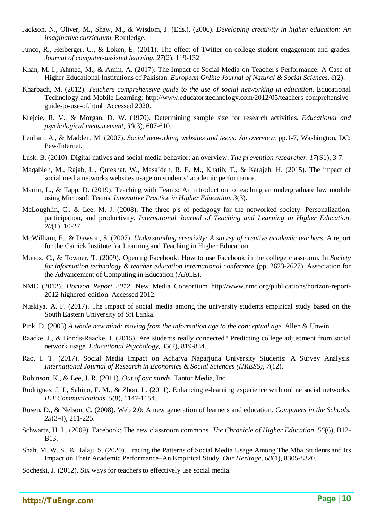- Jackson, N., Oliver, M., Shaw, M., & Wisdom, J. (Eds.). (2006). *Developing creativity in higher education: An imaginative curriculum*. Routledge.
- Junco, R., Heiberger, G., & Loken, E. (2011). The effect of Twitter on college student engagement and grades. *Journal of computer-assisted learning*, *27*(2), 119-132.
- Khan, M. I., Ahmed, M., & Amin, A. (2017). The Impact of Social Media on Teacher's Performance: A Case of Higher Educational Institutions of Pakistan. *European Online Journal of Natural & Social Sciences*, *6*(2).
- Kharbach, M. (2012). *Teachers comprehensive guide to the use of social networking in education*. Educational Technology and Mobile Learning: http://www.educatorstechnology.com/2012/05/teachers-comprehensiveguide-to-use-of.html Accessed 2020.
- Krejcie, R. V., & Morgan, D. W. (1970). Determining sample size for research activities. *Educational and psychological measurement*, *30*(3), 607-610.
- Lenhart, A., & Madden, M. (2007). *Social networking websites and teens: An overview.* pp.1-7, Washington, DC: Pew/Internet.
- Lusk, B. (2010). Digital natives and social media behavior: an overview. *The prevention researcher*, *17*(S1), 3-7.
- Maqableh, M., Rajab, L., Quteshat, W., Masa'deh, R. E. M., Khatib, T., & Karajeh, H. (2015). The impact of social media networks websites usage on students' academic performance.
- Martin, L., & Tapp, D. (2019). Teaching with Teams: An introduction to teaching an undergraduate law module using Microsoft Teams. *Innovative Practice in Higher Education*, *3*(3).
- McLoughlin, C., & Lee, M. J. (2008). The three p's of pedagogy for the networked society: Personalization, participation, and productivity. *International Journal of Teaching and Learning in Higher Education*, *20*(1), 10-27.
- McWilliam, E., & Dawson, S. (2007). *Understanding creativity: A survey of creative academic teachers*. A report for the Carrick Institute for Learning and Teaching in Higher Education.
- Munoz, C., & Towner, T. (2009). Opening Facebook: How to use Facebook in the college classroom. In *Society for information technology & teacher education international conference* (pp. 2623-2627). Association for the Advancement of Computing in Education (AACE).
- NMC (2012). *Horizon Report 2012*. New Media Consortium http://www.nmc.org/publications/horizon-report-2012-highered-edition Accessed 2012.
- Nuskiya, A. F. (2017). The impact of social media among the university students empirical study based on the South Eastern University of Sri Lanka.
- Pink, D. (2005) *A whole new mind: moving from the information age to the conceptual age.* Allen & Unwin.
- Raacke, J., & Bonds-Raacke, J. (2015). Are students really connected? Predicting college adjustment from social network usage. *Educational Psychology*, *35*(7), 819-834.
- Rao, I. T. (2017). Social Media Impact on Acharya Nagarjuna University Students: A Survey Analysis. *International Journal of Research in Economics & Social Sciences (IJRESS)*, *7*(12).
- Robinson, K., & Lee, J. R. (2011). *Out of our minds*. Tantor Media, Inc.
- Rodrigues, J. J., Sabino, F. M., & Zhou, L. (2011). Enhancing e-learning experience with online social networks. *IET Communications*, *5*(8), 1147-1154.
- Rosen, D., & Nelson, C. (2008). Web 2.0: A new generation of learners and education. *Computers in the Schools*, *25*(3-4), 211-225.
- Schwartz, H. L. (2009). Facebook: The new classroom commons. *The Chronicle of Higher Education*, *56*(6), B12- B13.
- Shah, M. W. S., & Balaji, S. (2020). Tracing the Patterns of Social Media Usage Among The Mba Students and Its Impact on Their Academic Performance–An Empirical Study. *Our Heritage*, *68*(1), 8305-8320.

Socheski, J. (2012). Six ways for teachers to effectively use social media.